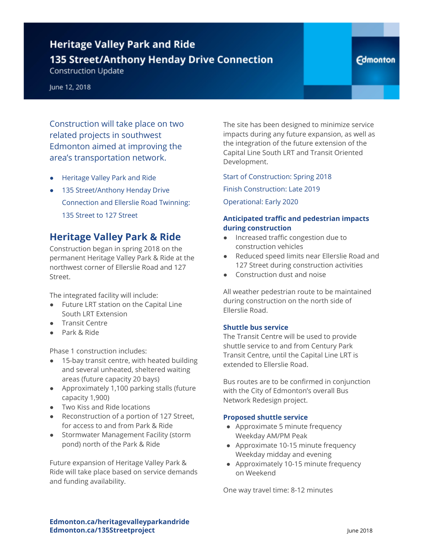# **Heritage Valley Park and Ride** 135 Street/Anthony Henday Drive Connection

**Construction Update** 

Construction will take place on two related projects in southwest Edmonton aimed at improving the area's transportation network.

- **Heritage Valley Park and Ride**
- 135 Street/Anthony Henday Drive Connection and Ellerslie Road Twinning: 135 Street to 127 Street

### **Heritage Valley Park & Ride**

Construction began in spring 2018 on the permanent Heritage Valley Park & Ride at the northwest corner of Ellerslie Road and 127 Street.

The integrated facility will include:

- Future LRT station on the Capital Line South LRT Extension
- Transit Centre
- Park & Ride

Phase 1 construction includes:

- 15-bay transit centre, with heated building and several unheated, sheltered waiting areas (future capacity 20 bays)
- Approximately 1,100 parking stalls (future capacity 1,900)
- Two Kiss and Ride locations
- Reconstruction of a portion of 127 Street, for access to and from Park & Ride
- Stormwater Management Facility (storm pond) north of the Park & Ride

Future expansion of Heritage Valley Park & Ride will take place based on service demands and funding availability.

The site has been designed to minimize service impacts during any future expansion, as well as the integration of the future extension of the Capital Line South LRT and Transit Oriented Development.

Start of Construction: Spring 2018 Finish Construction: Late 2019

Operational: Early 2020

### **Anticipated traffic and pedestrian impacts during construction**

- Increased traffic congestion due to construction vehicles
- Reduced speed limits near Ellerslie Road and 127 Street during construction activities
- Construction dust and noise

All weather pedestrian route to be maintained during construction on the north side of Ellerslie Road.

#### **Shuttle bus service**

The Transit Centre will be used to provide shuttle service to and from Century Park Transit Centre, until the Capital Line LRT is extended to Ellerslie Road.

Bus routes are to be confirmed in conjunction with the City of Edmonton's overall Bus Network Redesign project.

### **Proposed shuttle service**

- Approximate 5 minute frequency Weekday AM/PM Peak
- Approximate 10-15 minute frequency Weekday midday and evening
- Approximately 10-15 minute frequency on Weekend

One way travel time: 8-12 minutes

**Edmonton.ca/heritagevalleyparkandride Edmonton.ca/135Streetproject June 2018**